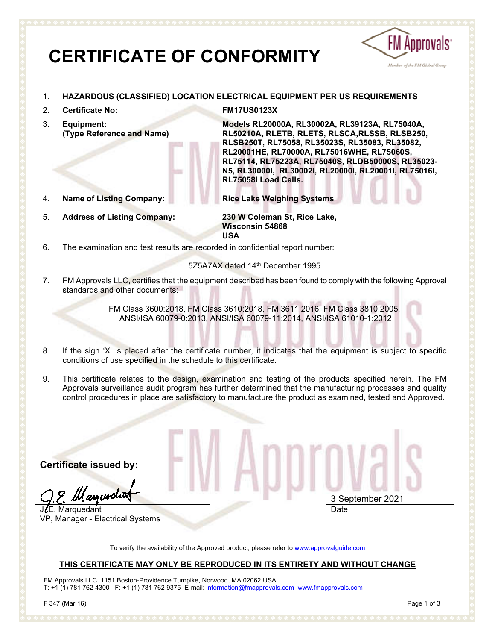# **CERTIFICATE OF CONFORMITY**



- 1. **HAZARDOUS (CLASSIFIED) LOCATION ELECTRICAL EQUIPMENT PER US REQUIREMENTS**
- 2. **Certificate No: FM17US0123X**
- 3. **Equipment: (Type Reference and Name)**
- 
- 5. **Address of Listing Company: 230 W Coleman St, Rice Lake,**

**Models RL20000A, RL30002A, RL39123A, RL75040A, RL50210A, RLETB, RLETS, RLSCA,RLSSB, RLSB250, RLSB250T, RL75058, RL35023S, RL35083, RL35082, RL20001HE, RL70000A, RL75016WHE, RL75060S, RL75114, RL75223A, RL75040S, RLDB50000S, RL35023- N5, RL30000I, RL30002I, RL20000I, RL20001I, RL75016I, RL75058I Load Cells.** 

4. **Name of Listing Company: Rice Lake Weighing Systems**

**Wisconsin 54868 USA**

6. The examination and test results are recorded in confidential report number:

### 5Z5A7AX dated 14th December 1995

7. FM Approvals LLC, certifies that the equipment described has been found to comply with the following Approval standards and other documents:

> FM Class 3600:2018, FM Class 3610:2018, FM 3611:2016, FM Class 3810:2005, ANSI/ISA 60079-0:2013, ANSI/ISA 60079-11:2014, ANSI/ISA 61010-1:2012

- 8. If the sign 'X' is placed after the certificate number, it indicates that the equipment is subject to specific conditions of use specified in the schedule to this certificate.
- 9. This certificate relates to the design, examination and testing of the products specified herein. The FM Approvals surveillance audit program has further determined that the manufacturing processes and quality control procedures in place are satisfactory to manufacture the product as examined, tested and Approved.

**Certificate issued by:**

*Manxuer*di

JLE. Marquedant VP, Manager - Electrical Systems

3 September 2021 Date

To verify the availability of the Approved product, please refer to www.approvalguide.com

### **THIS CERTIFICATE MAY ONLY BE REPRODUCED IN ITS ENTIRETY AND WITHOUT CHANGE**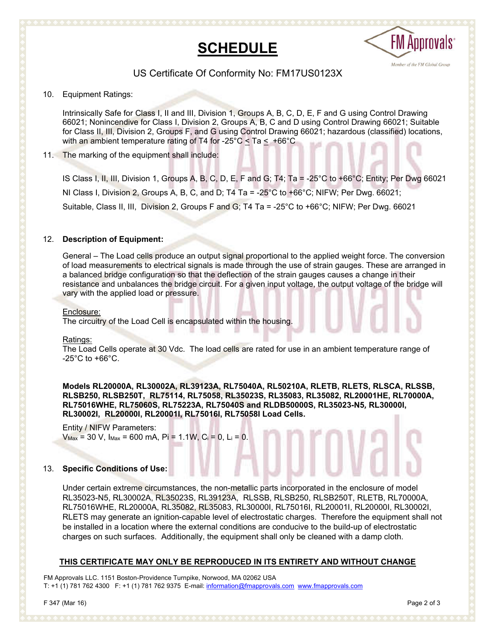# **SCHEDULE**



### US Certificate Of Conformity No: FM17US0123X

10. Equipment Ratings:

Intrinsically Safe for Class I, II and III, Division 1, Groups A, B, C, D, E, F and G using Control Drawing 66021; Nonincendive for Class I, Division 2, Groups A, B, C and D using Control Drawing 66021; Suitable for Class II, III, Division 2, Groups F, and G using Control Drawing 66021; hazardous (classified) locations, with an ambient temperature rating of T4 for -25°C  $\leq$  Ta  $\leq$  +66°C

### 11. The marking of the equipment shall include:

IS Class I, II, III, Division 1, Groups A, B, C, D, E, F and G; T4; Ta = -25°C to +66°C; Entity; Per Dwg 66021 NI Class I, Division 2, Groups A, B, C, and D; T4 Ta = -25°C to +66°C; NIFW; Per Dwg. 66021; Suitable, Class II, III, Division 2, Groups F and G; T4 Ta = -25°C to +66°C; NIFW; Per Dwg. 66021

### 12. **Description of Equipment:**

General – The Load cells produce an output signal proportional to the applied weight force. The conversion of load measurements to electrical signals is made through the use of strain gauges. These are arranged in a balanced bridge configuration so that the deflection of the strain gauges causes a change in their resistance and unbalances the bridge circuit. For a given input voltage, the output voltage of the bridge will vary with the applied load or pressure.

### Enclosure:

The circuitry of the Load Cell is encapsulated within the housing.

### Ratings:

The Load Cells operate at 30 Vdc. The load cells are rated for use in an ambient temperature range of  $-25^{\circ}$ C to  $+66^{\circ}$ C.

**Models RL20000A, RL30002A, RL39123A, RL75040A, RL50210A, RLETB, RLETS, RLSCA, RLSSB, RLSB250, RLSB250T, RL75114, RL75058, RL35023S, RL35083, RL35082, RL20001HE, RL70000A, RL75016WHE, RL75060S, RL75223A, RL75040S and RLDB50000S, RL35023-N5***,* **RL30000I, RL30002I, RL20000I, RL20001I, RL75016I, RL75058I Load Cells.** 

Entity / NIFW Parameters:  $V_{\text{Max}} = 30$  V,  $I_{\text{Max}} = 600$  mA,  $Pi = 1.1$ W,  $C_i = 0$ ,  $L_i = 0$ .

### 13. **Specific Conditions of Use:**

Under certain extreme circumstances, the non-metallic parts incorporated in the enclosure of model RL35023-N5, RL30002A, RL35023S, RL39123A, RLSSB, RLSB250, RLSB250T, RLETB, RL70000A, RL75016WHE, RL20000A, RL35082, RL35083, RL30000I, RL75016I, RL20001I, RL20000I, RL30002I, RLETS may generate an ignition-capable level of electrostatic charges. Therefore the equipment shall not be installed in a location where the external conditions are conducive to the build-up of electrostatic charges on such surfaces. Additionally, the equipment shall only be cleaned with a damp cloth.

### **THIS CERTIFICATE MAY ONLY BE REPRODUCED IN ITS ENTIRETY AND WITHOUT CHANGE**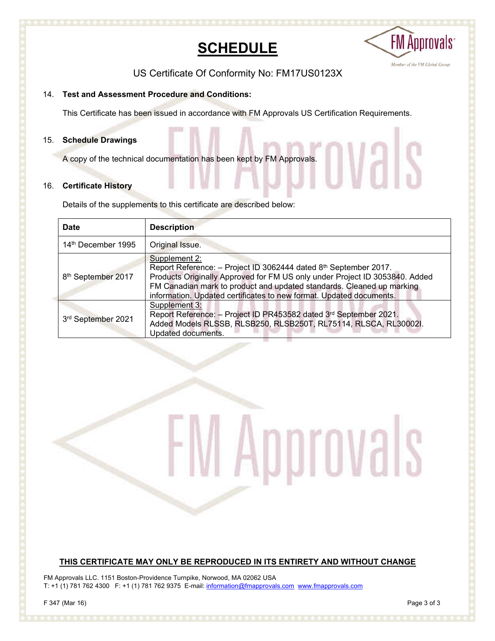# **SCHEDULE**



Vals

US Certificate Of Conformity No: FM17US0123X

### 14. **Test and Assessment Procedure and Conditions:**

This Certificate has been issued in accordance with FM Approvals US Certification Requirements.

### 15. **Schedule Drawings**

A copy of the technical documentation has been kept by FM Approvals.

### 16. **Certificate History**

Details of the supplements to this certificate are described below:

| <b>Date</b>                    | <b>Description</b>                                                                                                                                                                                                                                                                                               |
|--------------------------------|------------------------------------------------------------------------------------------------------------------------------------------------------------------------------------------------------------------------------------------------------------------------------------------------------------------|
| 14 <sup>th</sup> December 1995 | Original Issue.                                                                                                                                                                                                                                                                                                  |
| 8 <sup>th</sup> September 2017 | Supplement 2:<br>Report Reference: - Project ID 3062444 dated 8th September 2017.<br>Products Originally Approved for FM US only under Project ID 3053840. Added<br>FM Canadian mark to product and updated standards. Cleaned up marking<br>information. Updated certificates to new format. Updated documents. |
| 3rd September 2021             | Supplement 3:<br>Report Reference: - Project ID PR453582 dated 3rd September 2021.<br>Added Models RLSSB, RLSB250, RLSB250T, RL75114, RLSCA, RL30002I.<br>Updated documents.                                                                                                                                     |

/l Approvals

### **THIS CERTIFICATE MAY ONLY BE REPRODUCED IN ITS ENTIRETY AND WITHOUT CHANGE**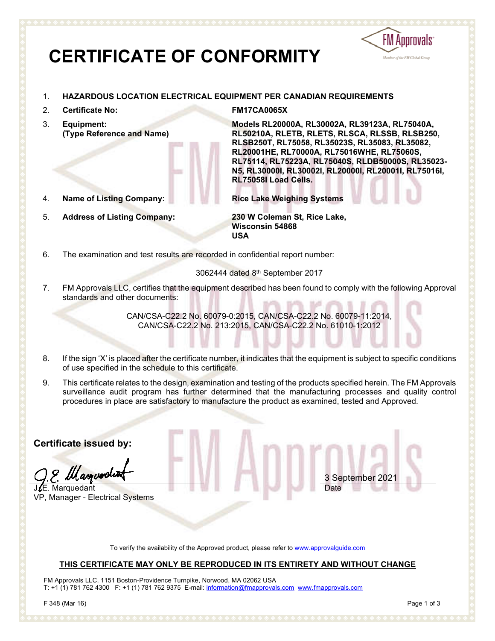# **CERTIFICATE OF CONFORMITY**



### 1. **HAZARDOUS LOCATION ELECTRICAL EQUIPMENT PER CANADIAN REQUIREMENTS**

- 2. **Certificate No: FM17CA0065X**
- 3. **Equipment: (Type Reference and Name)**
- 4. **Name of Listing Company: Rice Lake Weighing Systems**
- 5. **Address of Listing Company: 230 W Coleman St, Rice Lake,**

**Models RL20000A, RL30002A, RL39123A, RL75040A, RL50210A, RLETB, RLETS, RLSCA, RLSSB, RLSB250, RLSB250T, RL75058, RL35023S, RL35083, RL35082, RL20001HE, RL70000A, RL75016WHE, RL75060S, RL75114, RL75223A, RL75040S, RLDB50000S, RL35023- N5, RL30000I, RL30002I, RL20000I, RL20001I, RL75016I, RL75058I Load Cells.** 

3 September 20

Date

**Wisconsin 54868 USA**

6. The examination and test results are recorded in confidential report number:

### 3062444 dated 8th September 2017

7. FM Approvals LLC, certifies that the equipment described has been found to comply with the following Approval standards and other documents:

> CAN/CSA-C22.2 No. 60079-0:2015, CAN/CSA-C22.2 No. 60079-11:2014, CAN/CSA-C22.2 No. 213:2015, CAN/CSA-C22.2 No. 61010-1:2012

- 8. If the sign 'X' is placed after the certificate number, it indicates that the equipment is subject to specific conditions of use specified in the schedule to this certificate.
- 9. This certificate relates to the design, examination and testing of the products specified herein. The FM Approvals surveillance audit program has further determined that the manufacturing processes and quality control procedures in place are satisfactory to manufacture the product as examined, tested and Approved.

**Certificate issued by:**

Ill annuerdi

.. Marquedant VP, Manager - Electrical Systems

To verify the availability of the Approved product, please refer to www.approvalguide.com

### **THIS CERTIFICATE MAY ONLY BE REPRODUCED IN ITS ENTIRETY AND WITHOUT CHANGE**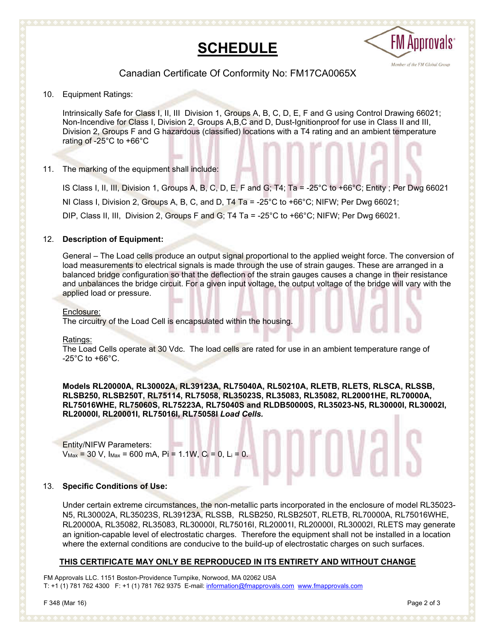



### Canadian Certificate Of Conformity No: FM17CA0065X

10. Equipment Ratings:

Intrinsically Safe for Class I, II, III Division 1, Groups A, B, C, D, E, F and G using Control Drawing 66021; Non-Incendive for Class I, Division 2, Groups A,B,C and D, Dust-Ignitionproof for use in Class II and III, Division 2, Groups F and G hazardous (classified) locations with a T4 rating and an ambient temperature rating of -25°C to +66°C

11. The marking of the equipment shall include:

IS Class I, II, III, Division 1, Groups A, B, C, D, E, F and G; T4; Ta = -25°C to +66°C; Entity ; Per Dwg 66021 NI Class I, Division 2, Groups A, B, C, and D, T4 Ta = -25°C to +66°C; NIFW; Per Dwg 66021; DIP, Class II, III, Division 2, Groups F and G; T4 Ta = -25°C to +66°C; NIFW; Per Dwg 66021.

### 12. **Description of Equipment:**

General – The Load cells produce an output signal proportional to the applied weight force. The conversion of load measurements to electrical signals is made through the use of strain gauges. These are arranged in a balanced bridge configuration so that the deflection of the strain gauges causes a change in their resistance and unbalances the bridge circuit. For a given input voltage, the output voltage of the bridge will vary with the applied load or pressure.

### Enclosure:

The circuitry of the Load Cell is encapsulated within the housing.

### Ratings:

The Load Cells operate at 30 Vdc. The load cells are rated for use in an ambient temperature range of  $-25^{\circ}$ C to  $+66^{\circ}$ C.

**Models RL20000A, RL30002A, RL39123A, RL75040A, RL50210A, RLETB, RLETS, RLSCA, RLSSB, RLSB250, RLSB250T, RL75114, RL75058, RL35023S, RL35083, RL35082, RL20001HE, RL70000A, RL75016WHE, RL75060S, RL75223A, RL75040S and RLDB50000S, RL35023-N5, RL30000I, RL30002I, RL20000I, RL20001I, RL75016I, RL75058I** *Load Cells.*

Entity/NIFW Parameters:  $V_{\text{Max}}$  = 30 V,  $I_{\text{Max}}$  = 600 mA, Pi = 1.1W, C<sub>i</sub> = 0, L<sub>i</sub> = 0.

### 13. **Specific Conditions of Use:**

Under certain extreme circumstances, the non-metallic parts incorporated in the enclosure of model RL35023- N5, RL30002A, RL35023S, RL39123A, RLSSB, RLSB250, RLSB250T, RLETB, RL70000A, RL75016WHE, RL20000A, RL35082, RL35083, RL30000I, RL75016I, RL20001I, RL20000I, RL30002I, RLETS may generate an ignition-capable level of electrostatic charges. Therefore the equipment shall not be installed in a location where the external conditions are conducive to the build-up of electrostatic charges on such surfaces.

### **THIS CERTIFICATE MAY ONLY BE REPRODUCED IN ITS ENTIRETY AND WITHOUT CHANGE**